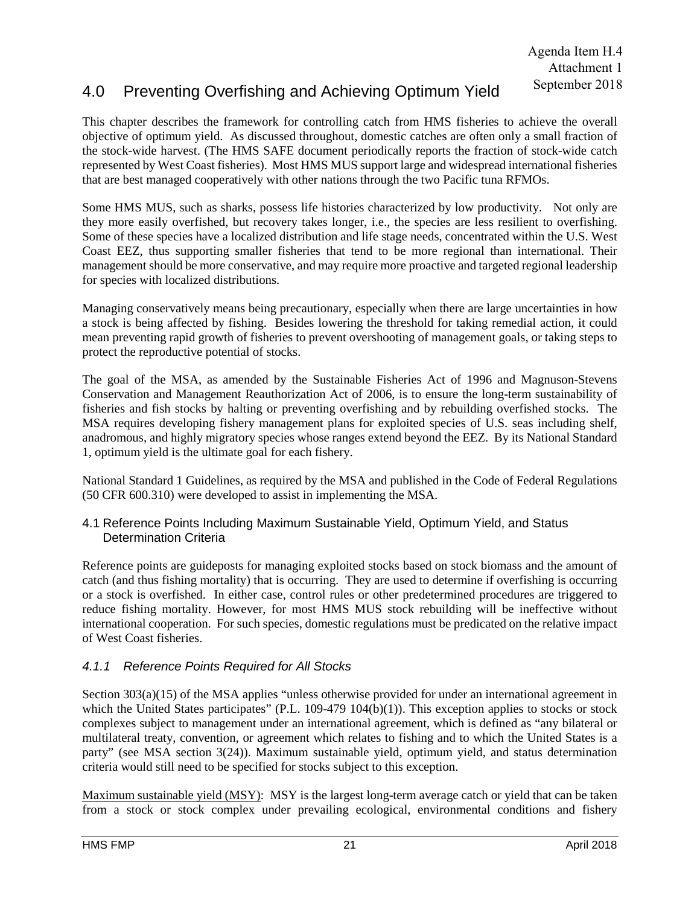# 4.0 Preventing Overfishing and Achieving Optimum Yield

This chapter describes the framework for controlling catch from HMS fisheries to achieve the overall objective of optimum yield. As discussed throughout, domestic catches are often only a small fraction of the stock-wide harvest. (The HMS SAFE document periodically reports the fraction of stock-wide catch represented by West Coast fisheries). Most HMS MUS support large and widespread international fisheries that are best managed cooperatively with other nations through the two Pacific tuna RFMOs.

Some HMS MUS, such as sharks, possess life histories characterized by low productivity. Not only are they more easily overfished, but recovery takes longer, i.e., the species are less resilient to overfishing. Some of these species have a localized distribution and life stage needs, concentrated within the U.S. West Coast EEZ, thus supporting smaller fisheries that tend to be more regional than international. Their management should be more conservative, and may require more proactive and targeted regional leadership for species with localized distributions.

Managing conservatively means being precautionary, especially when there are large uncertainties in how a stock is being affected by fishing. Besides lowering the threshold for taking remedial action, it could mean preventing rapid growth of fisheries to prevent overshooting of management goals, or taking steps to protect the reproductive potential of stocks.

The goal of the MSA, as amended by the Sustainable Fisheries Act of 1996 and Magnuson-Stevens Conservation and Management Reauthorization Act of 2006, is to ensure the long-term sustainability of fisheries and fish stocks by halting or preventing overfishing and by rebuilding overfished stocks. The MSA requires developing fishery management plans for exploited species of U.S. seas including shelf, anadromous, and highly migratory species whose ranges extend beyond the EEZ. By its National Standard 1, optimum yield is the ultimate goal for each fishery.

National Standard 1 Guidelines, as required by the MSA and published in the Code of Federal Regulations (50 CFR 600.310) were developed to assist in implementing the MSA.

### 4.1 Reference Points Including Maximum Sustainable Yield, Optimum Yield, and Status Determination Criteria

Reference points are guideposts for managing exploited stocks based on stock biomass and the amount of catch (and thus fishing mortality) that is occurring. They are used to determine if overfishing is occurring or a stock is overfished. In either case, control rules or other predetermined procedures are triggered to reduce fishing mortality. However, for most HMS MUS stock rebuilding will be ineffective without international cooperation. For such species, domestic regulations must be predicated on the relative impact of West Coast fisheries.

## *4.1.1 Reference Points Required for All Stocks*

Section 303(a)(15) of the MSA applies "unless otherwise provided for under an international agreement in which the United States participates" (P.L. 109-479 104(b)(1)). This exception applies to stocks or stock complexes subject to management under an international agreement, which is defined as "any bilateral or multilateral treaty, convention, or agreement which relates to fishing and to which the United States is a party" (see MSA section 3(24)). Maximum sustainable yield, optimum yield, and status determination criteria would still need to be specified for stocks subject to this exception.

Maximum sustainable yield (MSY): MSY is the largest long-term average catch or yield that can be taken from a stock or stock complex under prevailing ecological, environmental conditions and fishery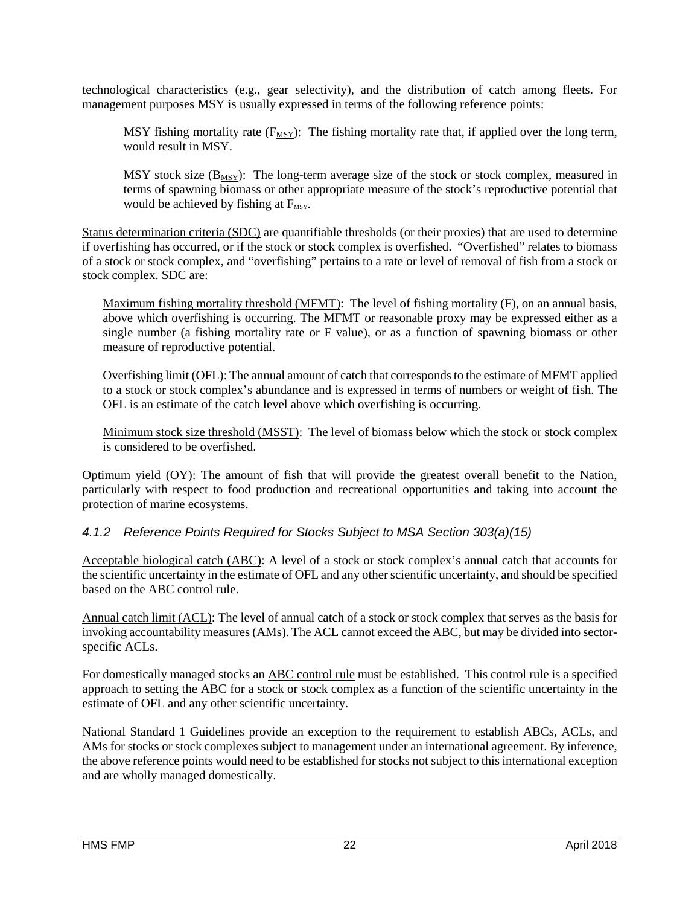technological characteristics (e.g., gear selectivity), and the distribution of catch among fleets. For management purposes MSY is usually expressed in terms of the following reference points:

MSY fishing mortality rate  $(F_{MSY})$ : The fishing mortality rate that, if applied over the long term, would result in MSY.

 $MSY$  stock size  $(B_{MSY})$ : The long-term average size of the stock or stock complex, measured in terms of spawning biomass or other appropriate measure of the stock's reproductive potential that would be achieved by fishing at  $F_{MSY}$ .

Status determination criteria (SDC) are quantifiable thresholds (or their proxies) that are used to determine if overfishing has occurred, or if the stock or stock complex is overfished. "Overfished" relates to biomass of a stock or stock complex, and "overfishing" pertains to a rate or level of removal of fish from a stock or stock complex. SDC are:

Maximum fishing mortality threshold (MFMT): The level of fishing mortality (F), on an annual basis, above which overfishing is occurring. The MFMT or reasonable proxy may be expressed either as a single number (a fishing mortality rate or F value), or as a function of spawning biomass or other measure of reproductive potential.

Overfishing limit (OFL): The annual amount of catch that corresponds to the estimate of MFMT applied to a stock or stock complex's abundance and is expressed in terms of numbers or weight of fish. The OFL is an estimate of the catch level above which overfishing is occurring.

Minimum stock size threshold (MSST): The level of biomass below which the stock or stock complex is considered to be overfished.

Optimum yield (OY): The amount of fish that will provide the greatest overall benefit to the Nation, particularly with respect to food production and recreational opportunities and taking into account the protection of marine ecosystems.

### *4.1.2 Reference Points Required for Stocks Subject to MSA Section 303(a)(15)*

Acceptable biological catch (ABC): A level of a stock or stock complex's annual catch that accounts for the scientific uncertainty in the estimate of OFL and any other scientific uncertainty, and should be specified based on the ABC control rule.

Annual catch limit (ACL): The level of annual catch of a stock or stock complex that serves as the basis for invoking accountability measures (AMs). The ACL cannot exceed the ABC, but may be divided into sectorspecific ACLs.

For domestically managed stocks an ABC control rule must be established. This control rule is a specified approach to setting the ABC for a stock or stock complex as a function of the scientific uncertainty in the estimate of OFL and any other scientific uncertainty.

National Standard 1 Guidelines provide an exception to the requirement to establish ABCs, ACLs, and AMs for stocks or stock complexes subject to management under an international agreement. By inference, the above reference points would need to be established for stocks not subject to this international exception and are wholly managed domestically.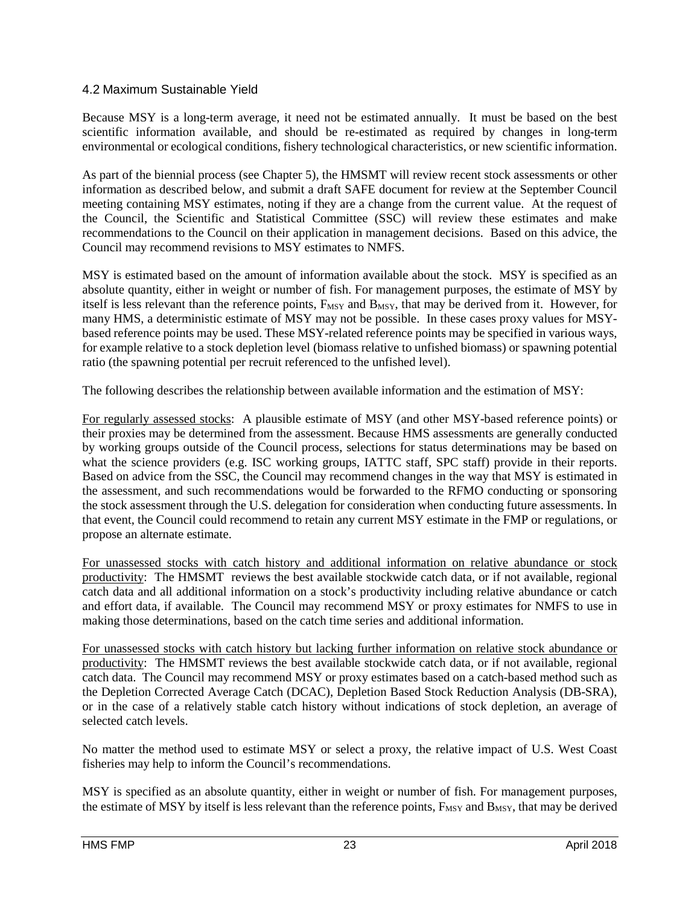### 4.2 Maximum Sustainable Yield

Because MSY is a long-term average, it need not be estimated annually. It must be based on the best scientific information available, and should be re-estimated as required by changes in long-term environmental or ecological conditions, fishery technological characteristics, or new scientific information.

As part of the biennial process (see Chapter 5), the HMSMT will review recent stock assessments or other information as described below, and submit a draft SAFE document for review at the September Council meeting containing MSY estimates, noting if they are a change from the current value. At the request of the Council, the Scientific and Statistical Committee (SSC) will review these estimates and make recommendations to the Council on their application in management decisions. Based on this advice, the Council may recommend revisions to MSY estimates to NMFS.

MSY is estimated based on the amount of information available about the stock. MSY is specified as an absolute quantity, either in weight or number of fish. For management purposes, the estimate of MSY by itself is less relevant than the reference points,  $F_{MSY}$  and  $B_{MSY}$ , that may be derived from it. However, for many HMS, a deterministic estimate of MSY may not be possible. In these cases proxy values for MSYbased reference points may be used. These MSY-related reference points may be specified in various ways, for example relative to a stock depletion level (biomass relative to unfished biomass) or spawning potential ratio (the spawning potential per recruit referenced to the unfished level).

The following describes the relationship between available information and the estimation of MSY:

For regularly assessed stocks: A plausible estimate of MSY (and other MSY-based reference points) or their proxies may be determined from the assessment. Because HMS assessments are generally conducted by working groups outside of the Council process, selections for status determinations may be based on what the science providers (e.g. ISC working groups, IATTC staff, SPC staff) provide in their reports. Based on advice from the SSC, the Council may recommend changes in the way that MSY is estimated in the assessment, and such recommendations would be forwarded to the RFMO conducting or sponsoring the stock assessment through the U.S. delegation for consideration when conducting future assessments. In that event, the Council could recommend to retain any current MSY estimate in the FMP or regulations, or propose an alternate estimate.

For unassessed stocks with catch history and additional information on relative abundance or stock productivity: The HMSMT reviews the best available stockwide catch data, or if not available, regional catch data and all additional information on a stock's productivity including relative abundance or catch and effort data, if available. The Council may recommend MSY or proxy estimates for NMFS to use in making those determinations, based on the catch time series and additional information.

For unassessed stocks with catch history but lacking further information on relative stock abundance or productivity: The HMSMT reviews the best available stockwide catch data, or if not available, regional catch data. The Council may recommend MSY or proxy estimates based on a catch-based method such as the Depletion Corrected Average Catch (DCAC), Depletion Based Stock Reduction Analysis (DB-SRA), or in the case of a relatively stable catch history without indications of stock depletion, an average of selected catch levels.

No matter the method used to estimate MSY or select a proxy, the relative impact of U.S. West Coast fisheries may help to inform the Council's recommendations.

MSY is specified as an absolute quantity, either in weight or number of fish. For management purposes, the estimate of MSY by itself is less relevant than the reference points,  $F_{MSY}$  and  $B_{MSY}$ , that may be derived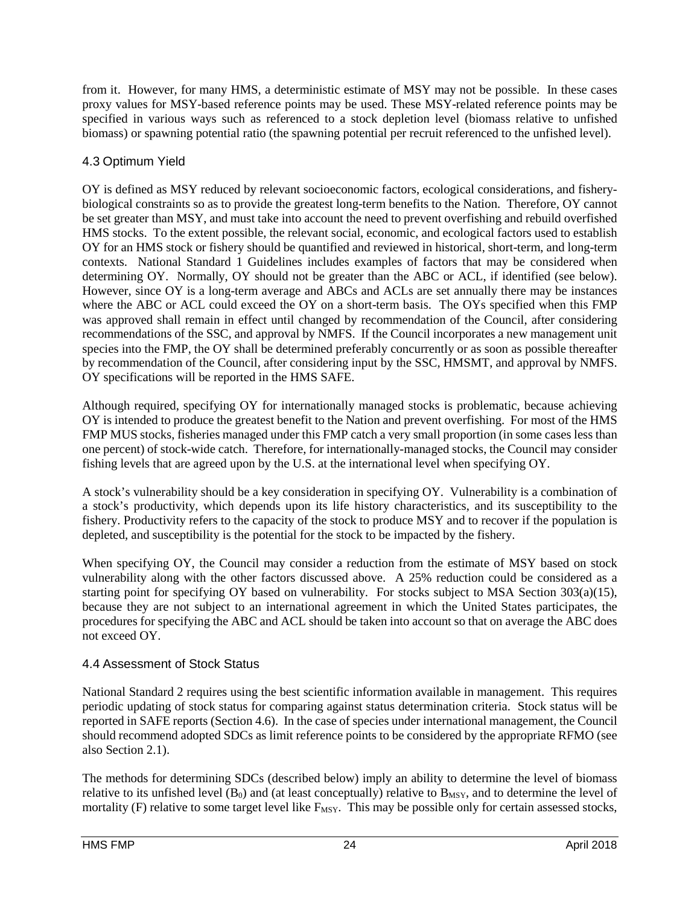from it. However, for many HMS, a deterministic estimate of MSY may not be possible. In these cases proxy values for MSY-based reference points may be used. These MSY-related reference points may be specified in various ways such as referenced to a stock depletion level (biomass relative to unfished biomass) or spawning potential ratio (the spawning potential per recruit referenced to the unfished level).

## 4.3 Optimum Yield

OY is defined as MSY reduced by relevant socioeconomic factors, ecological considerations, and fisherybiological constraints so as to provide the greatest long-term benefits to the Nation. Therefore, OY cannot be set greater than MSY, and must take into account the need to prevent overfishing and rebuild overfished HMS stocks. To the extent possible, the relevant social, economic, and ecological factors used to establish OY for an HMS stock or fishery should be quantified and reviewed in historical, short-term, and long-term contexts. National Standard 1 Guidelines includes examples of factors that may be considered when determining OY. Normally, OY should not be greater than the ABC or ACL, if identified (see below). However, since OY is a long-term average and ABCs and ACLs are set annually there may be instances where the ABC or ACL could exceed the OY on a short-term basis. The OYs specified when this FMP was approved shall remain in effect until changed by recommendation of the Council, after considering recommendations of the SSC, and approval by NMFS. If the Council incorporates a new management unit species into the FMP, the OY shall be determined preferably concurrently or as soon as possible thereafter by recommendation of the Council, after considering input by the SSC, HMSMT, and approval by NMFS. OY specifications will be reported in the HMS SAFE.

Although required, specifying OY for internationally managed stocks is problematic, because achieving OY is intended to produce the greatest benefit to the Nation and prevent overfishing. For most of the HMS FMP MUS stocks, fisheries managed under this FMP catch a very small proportion (in some cases less than one percent) of stock-wide catch. Therefore, for internationally-managed stocks, the Council may consider fishing levels that are agreed upon by the U.S. at the international level when specifying OY.

A stock's vulnerability should be a key consideration in specifying OY. Vulnerability is a combination of a stock's productivity, which depends upon its life history characteristics, and its susceptibility to the fishery. Productivity refers to the capacity of the stock to produce MSY and to recover if the population is depleted, and susceptibility is the potential for the stock to be impacted by the fishery.

When specifying OY, the Council may consider a reduction from the estimate of MSY based on stock vulnerability along with the other factors discussed above. A 25% reduction could be considered as a starting point for specifying OY based on vulnerability. For stocks subject to MSA Section 303(a)(15), because they are not subject to an international agreement in which the United States participates, the procedures for specifying the ABC and ACL should be taken into account so that on average the ABC does not exceed OY.

## 4.4 Assessment of Stock Status

National Standard 2 requires using the best scientific information available in management. This requires periodic updating of stock status for comparing against status determination criteria. Stock status will be reported in SAFE reports (Section 4.6). In the case of species under international management, the Council should recommend adopted SDCs as limit reference points to be considered by the appropriate RFMO (see also Section 2.1).

The methods for determining SDCs (described below) imply an ability to determine the level of biomass relative to its unfished level  $(B_0)$  and (at least conceptually) relative to  $B_{MSY}$ , and to determine the level of mortality (F) relative to some target level like F<sub>MSY</sub>. This may be possible only for certain assessed stocks,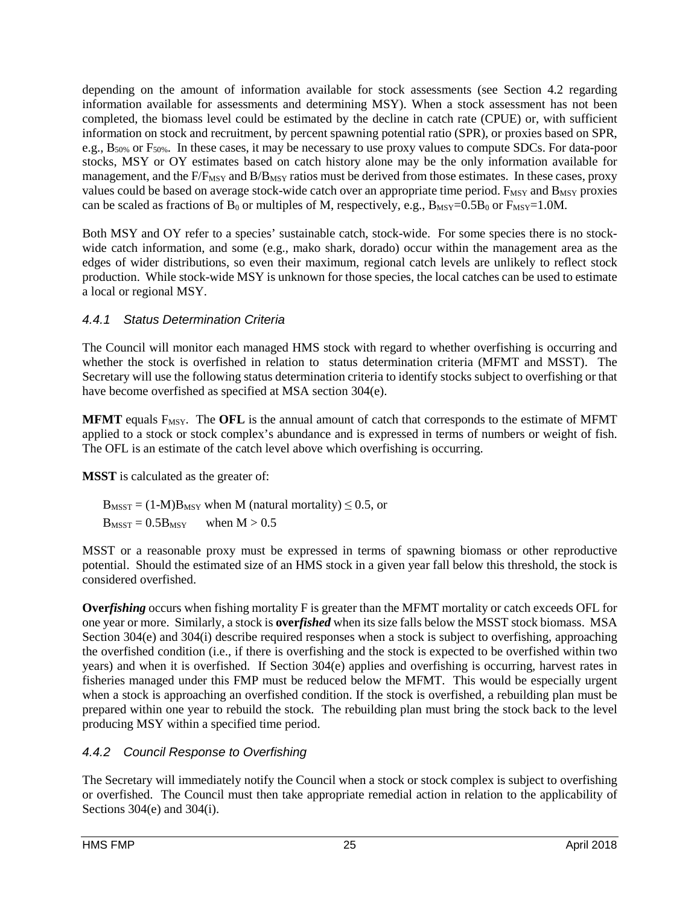depending on the amount of information available for stock assessments (see Section 4.2 regarding information available for assessments and determining MSY). When a stock assessment has not been completed, the biomass level could be estimated by the decline in catch rate (CPUE) or, with sufficient information on stock and recruitment, by percent spawning potential ratio (SPR), or proxies based on SPR, e.g., B50% or F50%. In these cases, it may be necessary to use proxy values to compute SDCs. For data-poor stocks, MSY or OY estimates based on catch history alone may be the only information available for management, and the F/F<sub>MSY</sub> and B/B<sub>MSY</sub> ratios must be derived from those estimates. In these cases, proxy values could be based on average stock-wide catch over an appropriate time period. F<sub>MSY</sub> and B<sub>MSY</sub> proxies can be scaled as fractions of  $B_0$  or multiples of M, respectively, e.g.,  $B_{MSY}=0.5B_0$  or  $F_{MSY}=1.0M$ .

Both MSY and OY refer to a species' sustainable catch, stock-wide. For some species there is no stockwide catch information, and some (e.g., mako shark, dorado) occur within the management area as the edges of wider distributions, so even their maximum, regional catch levels are unlikely to reflect stock production. While stock-wide MSY is unknown for those species, the local catches can be used to estimate a local or regional MSY.

## *4.4.1 Status Determination Criteria*

The Council will monitor each managed HMS stock with regard to whether overfishing is occurring and whether the stock is overfished in relation to status determination criteria (MFMT and MSST). The Secretary will use the following status determination criteria to identify stocks subject to overfishing or that have become overfished as specified at MSA section 304(e).

**MFMT** equals F<sub>MSY</sub>. The **OFL** is the annual amount of catch that corresponds to the estimate of MFMT applied to a stock or stock complex's abundance and is expressed in terms of numbers or weight of fish. The OFL is an estimate of the catch level above which overfishing is occurring.

**MSST** is calculated as the greater of:

 $B_{MST} = (1-M)B_{MSY}$  when M (natural mortality)  $\leq 0.5$ , or  $B_{MST} = 0.5B_{MSY}$  when  $M > 0.5$ 

MSST or a reasonable proxy must be expressed in terms of spawning biomass or other reproductive potential. Should the estimated size of an HMS stock in a given year fall below this threshold, the stock is considered overfished.

**Over***fishing* occurs when fishing mortality F is greater than the MFMT mortality or catch exceeds OFL for one year or more. Similarly, a stock is **over***fished* when its size falls below the MSST stock biomass. MSA Section  $304(e)$  and  $304(i)$  describe required responses when a stock is subject to overfishing, approaching the overfished condition (i.e., if there is overfishing and the stock is expected to be overfished within two years) and when it is overfished. If Section 304(e) applies and overfishing is occurring, harvest rates in fisheries managed under this FMP must be reduced below the MFMT. This would be especially urgent when a stock is approaching an overfished condition. If the stock is overfished, a rebuilding plan must be prepared within one year to rebuild the stock. The rebuilding plan must bring the stock back to the level producing MSY within a specified time period.

## *4.4.2 Council Response to Overfishing*

The Secretary will immediately notify the Council when a stock or stock complex is subject to overfishing or overfished. The Council must then take appropriate remedial action in relation to the applicability of Sections 304(e) and 304(i).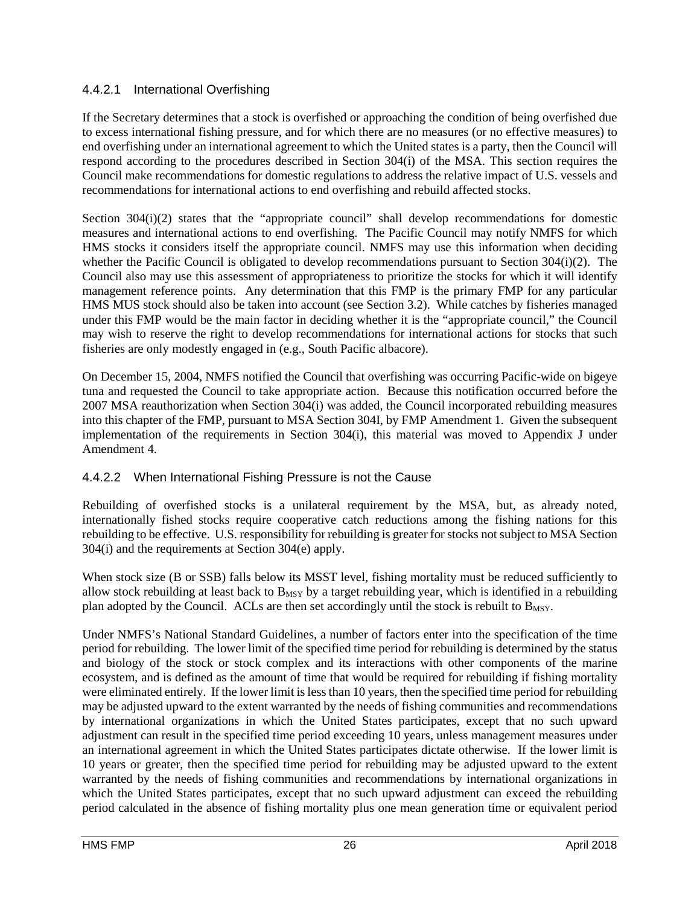### 4.4.2.1 International Overfishing

If the Secretary determines that a stock is overfished or approaching the condition of being overfished due to excess international fishing pressure, and for which there are no measures (or no effective measures) to end overfishing under an international agreement to which the United states is a party, then the Council will respond according to the procedures described in Section 304(i) of the MSA. This section requires the Council make recommendations for domestic regulations to address the relative impact of U.S. vessels and recommendations for international actions to end overfishing and rebuild affected stocks.

Section 304(i)(2) states that the "appropriate council" shall develop recommendations for domestic measures and international actions to end overfishing. The Pacific Council may notify NMFS for which HMS stocks it considers itself the appropriate council. NMFS may use this information when deciding whether the Pacific Council is obligated to develop recommendations pursuant to Section 304(i)(2). The Council also may use this assessment of appropriateness to prioritize the stocks for which it will identify management reference points. Any determination that this FMP is the primary FMP for any particular HMS MUS stock should also be taken into account (see Section 3.2). While catches by fisheries managed under this FMP would be the main factor in deciding whether it is the "appropriate council," the Council may wish to reserve the right to develop recommendations for international actions for stocks that such fisheries are only modestly engaged in (e.g., South Pacific albacore).

On December 15, 2004, NMFS notified the Council that overfishing was occurring Pacific-wide on bigeye tuna and requested the Council to take appropriate action. Because this notification occurred before the 2007 MSA reauthorization when Section 304(i) was added, the Council incorporated rebuilding measures into this chapter of the FMP, pursuant to MSA Section 304I, by FMP Amendment 1. Given the subsequent implementation of the requirements in Section 304(i), this material was moved to Appendix J under Amendment 4.

### 4.4.2.2 When International Fishing Pressure is not the Cause

Rebuilding of overfished stocks is a unilateral requirement by the MSA, but, as already noted, internationally fished stocks require cooperative catch reductions among the fishing nations for this rebuilding to be effective. U.S. responsibility for rebuilding is greater for stocks not subject to MSA Section 304(i) and the requirements at Section 304(e) apply.

When stock size (B or SSB) falls below its MSST level, fishing mortality must be reduced sufficiently to allow stock rebuilding at least back to  $B_{MSY}$  by a target rebuilding year, which is identified in a rebuilding plan adopted by the Council. ACLs are then set accordingly until the stock is rebuilt to  $B_{MSY}$ .

Under NMFS's National Standard Guidelines, a number of factors enter into the specification of the time period for rebuilding. The lower limit of the specified time period for rebuilding is determined by the status and biology of the stock or stock complex and its interactions with other components of the marine ecosystem, and is defined as the amount of time that would be required for rebuilding if fishing mortality were eliminated entirely. If the lower limit is less than 10 years, then the specified time period for rebuilding may be adjusted upward to the extent warranted by the needs of fishing communities and recommendations by international organizations in which the United States participates, except that no such upward adjustment can result in the specified time period exceeding 10 years, unless management measures under an international agreement in which the United States participates dictate otherwise. If the lower limit is 10 years or greater, then the specified time period for rebuilding may be adjusted upward to the extent warranted by the needs of fishing communities and recommendations by international organizations in which the United States participates, except that no such upward adjustment can exceed the rebuilding period calculated in the absence of fishing mortality plus one mean generation time or equivalent period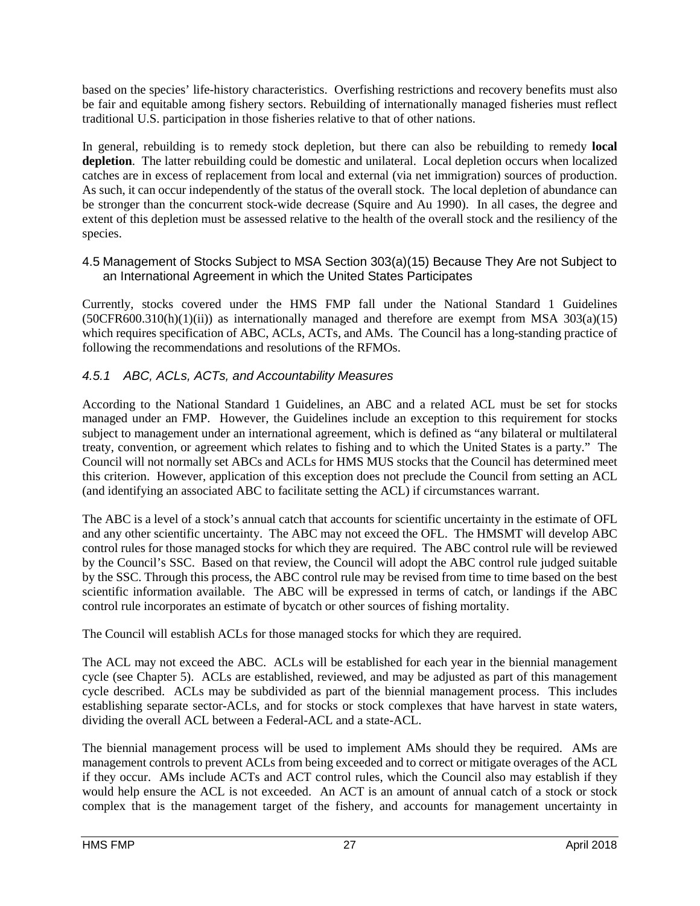based on the species' life-history characteristics. Overfishing restrictions and recovery benefits must also be fair and equitable among fishery sectors. Rebuilding of internationally managed fisheries must reflect traditional U.S. participation in those fisheries relative to that of other nations.

In general, rebuilding is to remedy stock depletion, but there can also be rebuilding to remedy **local depletion**. The latter rebuilding could be domestic and unilateral. Local depletion occurs when localized catches are in excess of replacement from local and external (via net immigration) sources of production. As such, it can occur independently of the status of the overall stock. The local depletion of abundance can be stronger than the concurrent stock-wide decrease (Squire and Au 1990). In all cases, the degree and extent of this depletion must be assessed relative to the health of the overall stock and the resiliency of the species.

#### 4.5 Management of Stocks Subject to MSA Section 303(a)(15) Because They Are not Subject to an International Agreement in which the United States Participates

Currently, stocks covered under the HMS FMP fall under the National Standard 1 Guidelines  $(50CFR600.310(h)(1)(ii))$  as internationally managed and therefore are exempt from MSA 303(a)(15) which requires specification of ABC, ACLs, ACTs, and AMs. The Council has a long-standing practice of following the recommendations and resolutions of the RFMOs.

### *4.5.1 ABC, ACLs, ACTs, and Accountability Measures*

According to the National Standard 1 Guidelines, an ABC and a related ACL must be set for stocks managed under an FMP. However, the Guidelines include an exception to this requirement for stocks subject to management under an international agreement, which is defined as "any bilateral or multilateral treaty, convention, or agreement which relates to fishing and to which the United States is a party." The Council will not normally set ABCs and ACLs for HMS MUS stocks that the Council has determined meet this criterion. However, application of this exception does not preclude the Council from setting an ACL (and identifying an associated ABC to facilitate setting the ACL) if circumstances warrant.

The ABC is a level of a stock's annual catch that accounts for scientific uncertainty in the estimate of OFL and any other scientific uncertainty. The ABC may not exceed the OFL. The HMSMT will develop ABC control rules for those managed stocks for which they are required. The ABC control rule will be reviewed by the Council's SSC. Based on that review, the Council will adopt the ABC control rule judged suitable by the SSC. Through this process, the ABC control rule may be revised from time to time based on the best scientific information available. The ABC will be expressed in terms of catch, or landings if the ABC control rule incorporates an estimate of bycatch or other sources of fishing mortality.

The Council will establish ACLs for those managed stocks for which they are required.

The ACL may not exceed the ABC. ACLs will be established for each year in the biennial management cycle (see Chapter 5). ACLs are established, reviewed, and may be adjusted as part of this management cycle described. ACLs may be subdivided as part of the biennial management process. This includes establishing separate sector-ACLs, and for stocks or stock complexes that have harvest in state waters, dividing the overall ACL between a Federal-ACL and a state-ACL.

The biennial management process will be used to implement AMs should they be required. AMs are management controls to prevent ACLs from being exceeded and to correct or mitigate overages of the ACL if they occur. AMs include ACTs and ACT control rules, which the Council also may establish if they would help ensure the ACL is not exceeded. An ACT is an amount of annual catch of a stock or stock complex that is the management target of the fishery, and accounts for management uncertainty in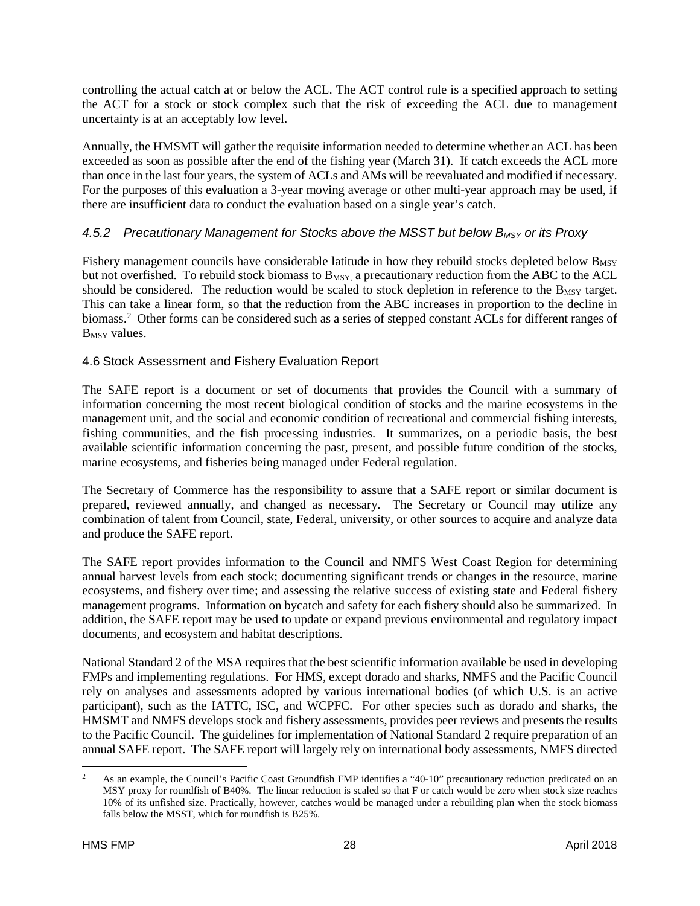controlling the actual catch at or below the ACL. The ACT control rule is a specified approach to setting the ACT for a stock or stock complex such that the risk of exceeding the ACL due to management uncertainty is at an acceptably low level.

Annually, the HMSMT will gather the requisite information needed to determine whether an ACL has been exceeded as soon as possible after the end of the fishing year (March 31). If catch exceeds the ACL more than once in the last four years, the system of ACLs and AMs will be reevaluated and modified if necessary. For the purposes of this evaluation a 3-year moving average or other multi-year approach may be used, if there are insufficient data to conduct the evaluation based on a single year's catch.

### 4.5.2 *Precautionary Management for Stocks above the MSST but below B<sub>MSY</sub> or its Proxy*

Fishery management councils have considerable latitude in how they rebuild stocks depleted below B<sub>MSY</sub> but not overfished. To rebuild stock biomass to  $B_{MSY}$ , a precautionary reduction from the ABC to the ACL should be considered. The reduction would be scaled to stock depletion in reference to the  $B_{MSY}$  target. This can take a linear form, so that the reduction from the ABC increases in proportion to the decline in biomass.<sup>[2](#page-7-0)</sup> Other forms can be considered such as a series of stepped constant ACLs for different ranges of B<sub>MSY</sub> values.

### 4.6 Stock Assessment and Fishery Evaluation Report

The SAFE report is a document or set of documents that provides the Council with a summary of information concerning the most recent biological condition of stocks and the marine ecosystems in the management unit, and the social and economic condition of recreational and commercial fishing interests, fishing communities, and the fish processing industries. It summarizes, on a periodic basis, the best available scientific information concerning the past, present, and possible future condition of the stocks, marine ecosystems, and fisheries being managed under Federal regulation.

The Secretary of Commerce has the responsibility to assure that a SAFE report or similar document is prepared, reviewed annually, and changed as necessary. The Secretary or Council may utilize any combination of talent from Council, state, Federal, university, or other sources to acquire and analyze data and produce the SAFE report.

The SAFE report provides information to the Council and NMFS West Coast Region for determining annual harvest levels from each stock; documenting significant trends or changes in the resource, marine ecosystems, and fishery over time; and assessing the relative success of existing state and Federal fishery management programs. Information on bycatch and safety for each fishery should also be summarized. In addition, the SAFE report may be used to update or expand previous environmental and regulatory impact documents, and ecosystem and habitat descriptions.

National Standard 2 of the MSA requires that the best scientific information available be used in developing FMPs and implementing regulations. For HMS, except dorado and sharks, NMFS and the Pacific Council rely on analyses and assessments adopted by various international bodies (of which U.S. is an active participant), such as the IATTC, ISC, and WCPFC. For other species such as dorado and sharks, the HMSMT and NMFS develops stock and fishery assessments, provides peer reviews and presents the results to the Pacific Council. The guidelines for implementation of National Standard 2 require preparation of an annual SAFE report. The SAFE report will largely rely on international body assessments, NMFS directed

<span id="page-7-0"></span><sup>&</sup>lt;sup>2</sup> As an example, the Council's Pacific Coast Groundfish FMP identifies a "40-10" precautionary reduction predicated on an MSY proxy for roundfish of B40%. The linear reduction is scaled so that F or catch would be zero when stock size reaches 10% of its unfished size. Practically, however, catches would be managed under a rebuilding plan when the stock biomass falls below the MSST, which for roundfish is B25%.